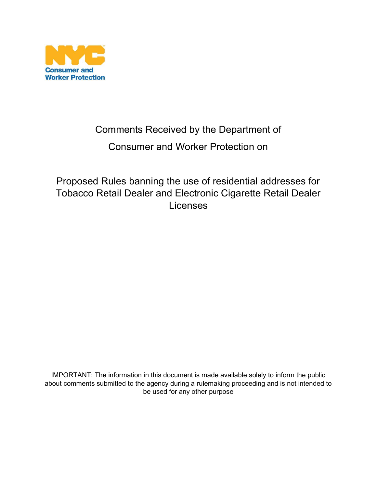

## Comments Received by the Department of

## Consumer and Worker Protection on

Proposed Rules banning the use of residential addresses for Tobacco Retail Dealer and Electronic Cigarette Retail Dealer Licenses

IMPORTANT: The information in this document is made available solely to inform the public about comments submitted to the agency during a rulemaking proceeding and is not intended to be used for any other purpose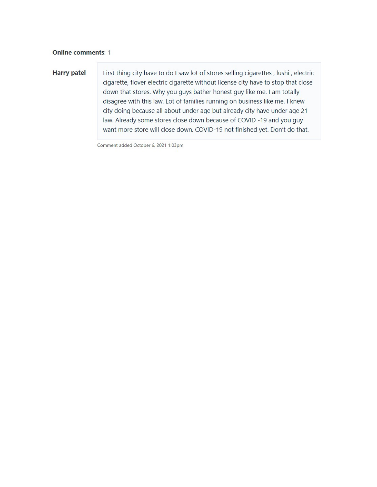## **Online comments: 1**

## **Harry patel**

First thing city have to do I saw lot of stores selling cigarettes, lushi, electric cigarette, flover electric cigarette without license city have to stop that close down that stores. Why you guys bather honest guy like me. I am totally disagree with this law. Lot of families running on business like me. I knew city doing because all about under age but already city have under age 21 law. Already some stores close down because of COVID -19 and you guy want more store will close down. COVID-19 not finished yet. Don't do that.

Comment added October 6, 2021 1:03pm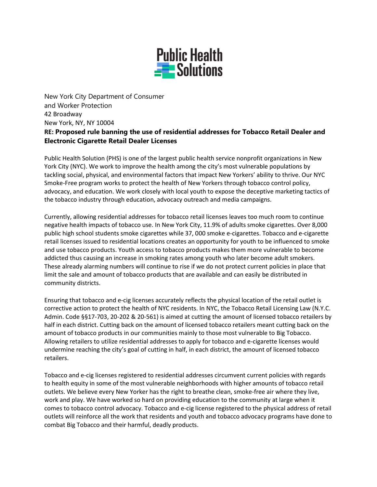

New York City Department of Consumer and Worker Protection 42 Broadway New York, NY, NY 10004 RE: Proposed rule banning the use of residential addresses for Tobacco Retail Dealer and Electronic Cigarette Retail Dealer Licenses

Public Health Solution (PHS) is one of the largest public health service nonprofit organizations in New York City (NYC). We work to improve the health among the city's most vulnerable populations by tackling social, physical, and environmental factors that impact New Yorkers' ability to thrive. Our NYC Smoke-Free program works to protect the health of New Yorkers through tobacco control policy, advocacy, and education. We work closely with local youth to expose the deceptive marketing tactics of the tobacco industry through education, advocacy outreach and media campaigns.

Currently, allowing residential addresses for tobacco retail licenses leaves too much room to continue negative health impacts of tobacco use. In New York City, 11.9% of adults smoke cigarettes. Over 8,000 public high school students smoke cigarettes while 37, 000 smoke e-cigarettes. Tobacco and e-cigarette retail licenses issued to residential locations creates an opportunity for youth to be influenced to smoke and use tobacco products. Youth access to tobacco products makes them more vulnerable to become addicted thus causing an increase in smoking rates among youth who later become adult smokers. These already alarming numbers will continue to rise if we do not protect current policies in place that limit the sale and amount of tobacco products that are available and can easily be distributed in community districts.

Ensuring that tobacco and e-cig licenses accurately reflects the physical location of the retail outlet is corrective action to protect the health of NYC residents. In NYC, the Tobacco Retail Licensing Law (N.Y.C. Admin. Code §§17-703, 20-202 & 20-561) is aimed at cutting the amount of licensed tobacco retailers by half in each district. Cutting back on the amount of licensed tobacco retailers meant cutting back on the amount of tobacco products in our communities mainly to those most vulnerable to Big Tobacco. Allowing retailers to utilize residential addresses to apply for tobacco and e-cigarette licenses would undermine reaching the city's goal of cutting in half, in each district, the amount of licensed tobacco retailers.

Tobacco and e-cig licenses registered to residential addresses circumvent current policies with regards to health equity in some of the most vulnerable neighborhoods with higher amounts of tobacco retail outlets. We believe every New Yorker has the right to breathe clean, smoke-free air where they live, work and play. We have worked so hard on providing education to the community at large when it comes to tobacco control advocacy. Tobacco and e-cig license registered to the physical address of retail outlets will reinforce all the work that residents and youth and tobacco advocacy programs have done to combat Big Tobacco and their harmful, deadly products.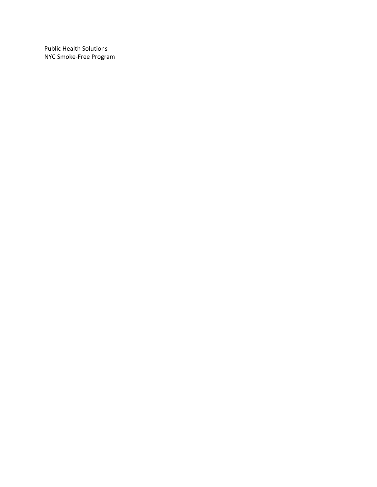Public Health Solutions NYC Smoke-Free Program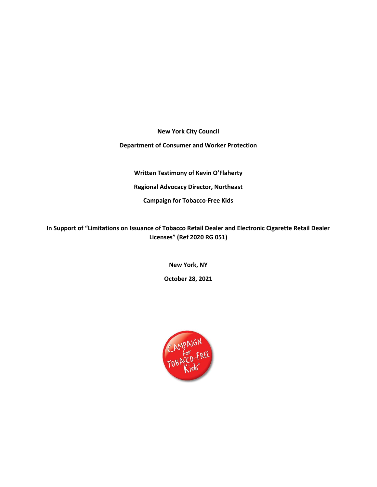New York City Council

Department of Consumer and Worker Protection

Written Testimony of Kevin O'Flaherty Regional Advocacy Director, Northeast

Campaign for Tobacco-Free Kids

In Support of "Limitations on Issuance of Tobacco Retail Dealer and Electronic Cigarette Retail Dealer Licenses" (Ref 2020 RG 051)

New York, NY

October 28, 2021

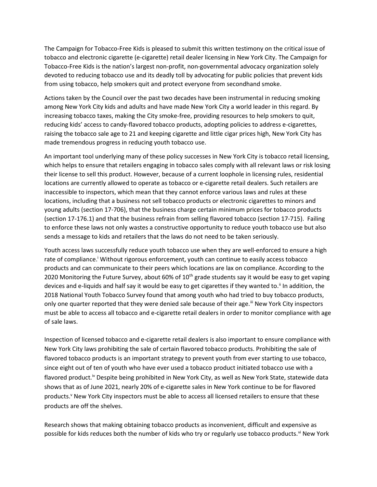The Campaign for Tobacco-Free Kids is pleased to submit this written testimony on the critical issue of tobacco and electronic cigarette (e-cigarette) retail dealer licensing in New York City. The Campaign for Tobacco-Free Kids is the nation's largest non-profit, non-governmental advocacy organization solely devoted to reducing tobacco use and its deadly toll by advocating for public policies that prevent kids from using tobacco, help smokers quit and protect everyone from secondhand smoke.

Actions taken by the Council over the past two decades have been instrumental in reducing smoking among New York City kids and adults and have made New York City a world leader in this regard. By increasing tobacco taxes, making the City smoke-free, providing resources to help smokers to quit, reducing kids' access to candy-flavored tobacco products, adopting policies to address e-cigarettes, raising the tobacco sale age to 21 and keeping cigarette and little cigar prices high, New York City has made tremendous progress in reducing youth tobacco use.

An important tool underlying many of these policy successes in New York City is tobacco retail licensing, which helps to ensure that retailers engaging in tobacco sales comply with all relevant laws or risk losing their license to sell this product. However, because of a current loophole in licensing rules, residential locations are currently allowed to operate as tobacco or e-cigarette retail dealers. Such retailers are inaccessible to inspectors, which mean that they cannot enforce various laws and rules at these locations, including that a business not sell tobacco products or electronic cigarettes to minors and young adults (section 17-706), that the business charge certain minimum prices for tobacco products (section 17-176.1) and that the business refrain from selling flavored tobacco (section 17-715). Failing to enforce these laws not only wastes a constructive opportunity to reduce youth tobacco use but also sends a message to kids and retailers that the laws do not need to be taken seriously.

Youth access laws successfully reduce youth tobacco use when they are well-enforced to ensure a high rate of compliance.<sup>i</sup> Without rigorous enforcement, youth can continue to easily access tobacco products and can communicate to their peers which locations are lax on compliance. According to the 2020 Monitoring the Future Survey, about 60% of 10<sup>th</sup> grade students say it would be easy to get vaping devices and e-liquids and half say it would be easy to get cigarettes if they wanted to." In addition, the 2018 National Youth Tobacco Survey found that among youth who had tried to buy tobacco products, only one quarter reported that they were denied sale because of their age.<sup>iii</sup> New York City inspectors must be able to access all tobacco and e-cigarette retail dealers in order to monitor compliance with age of sale laws.

Inspection of licensed tobacco and e-cigarette retail dealers is also important to ensure compliance with New York City laws prohibiting the sale of certain flavored tobacco products. Prohibiting the sale of flavored tobacco products is an important strategy to prevent youth from ever starting to use tobacco, since eight out of ten of youth who have ever used a tobacco product initiated tobacco use with a flavored product.<sup>iv</sup> Despite being prohibited in New York City, as well as New York State, statewide data shows that as of June 2021, nearly 20% of e-cigarette sales in New York continue to be for flavored products.<sup>v</sup> New York City inspectors must be able to access all licensed retailers to ensure that these products are off the shelves.

Research shows that making obtaining tobacco products as inconvenient, difficult and expensive as possible for kids reduces both the number of kids who try or regularly use tobacco products. Vi New York